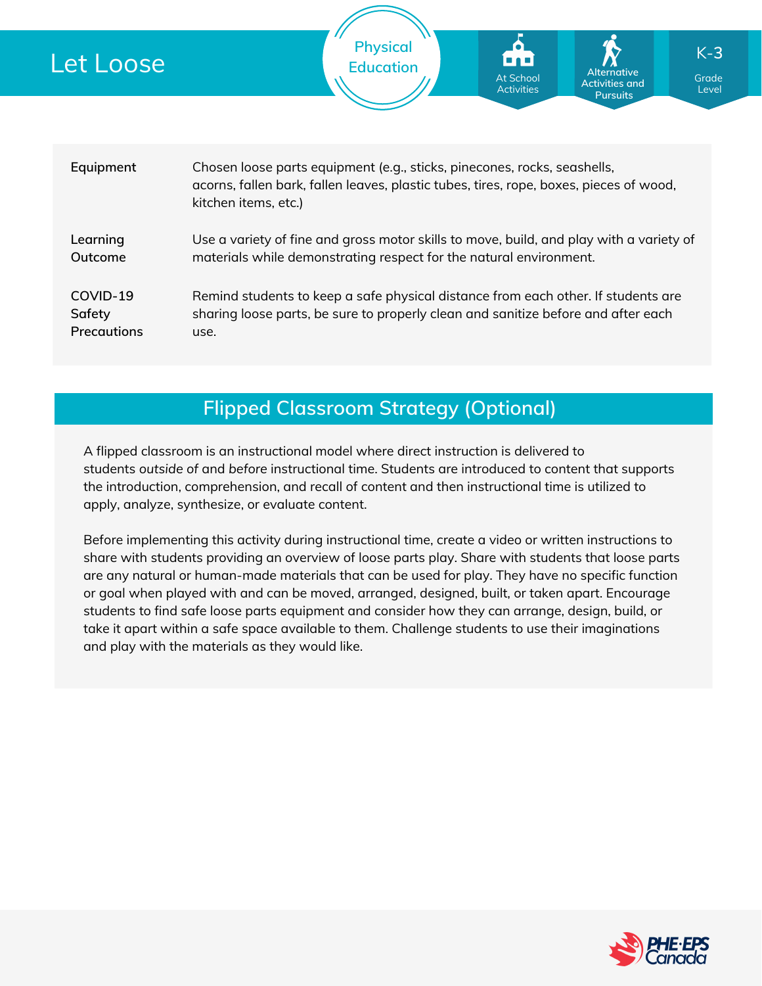| Let Loose                         | <b>Physical</b><br>$K-3$<br><b>Education</b><br><b>Alternative</b><br><b>At School</b><br>Grade<br><b>Activities and</b><br><b>Activities</b><br>Level<br><b>Pursuits</b>                  |  |  |  |  |  |
|-----------------------------------|--------------------------------------------------------------------------------------------------------------------------------------------------------------------------------------------|--|--|--|--|--|
|                                   |                                                                                                                                                                                            |  |  |  |  |  |
| Equipment                         | Chosen loose parts equipment (e.g., sticks, pinecones, rocks, seashells,<br>acorns, fallen bark, fallen leaves, plastic tubes, tires, rope, boxes, pieces of wood,<br>kitchen items, etc.) |  |  |  |  |  |
| Learning<br>Outcome               | Use a variety of fine and gross motor skills to move, build, and play with a variety of<br>materials while demonstrating respect for the natural environment.                              |  |  |  |  |  |
| COVID-19<br>Safety<br>Precautions | Remind students to keep a safe physical distance from each other. If students are<br>sharing loose parts, be sure to properly clean and sanitize before and after each<br>use.             |  |  |  |  |  |

### **Flipped Classroom Strategy (Optional)**

A flipped classroom is an instructional model where direct instruction is delivered to students *outside of* and *before* instructional time. Students are introduced to content that supports the introduction, comprehension, and recall of content and then instructional time is utilized to apply, analyze, synthesize, or evaluate content.

Before implementing this activity during instructional time, create a video or written instructions to share with students providing an overview of loose parts play. Share with students that loose parts are any natural or human-made materials that can be used for play. They have no specific function or goal when played with and can be moved, arranged, designed, built, or taken apart. Encourage students to find safe loose parts equipment and consider how they can arrange, design, build, or take it apart within a safe space available to them. Challenge students to use their imaginations and play with the materials as they would like.

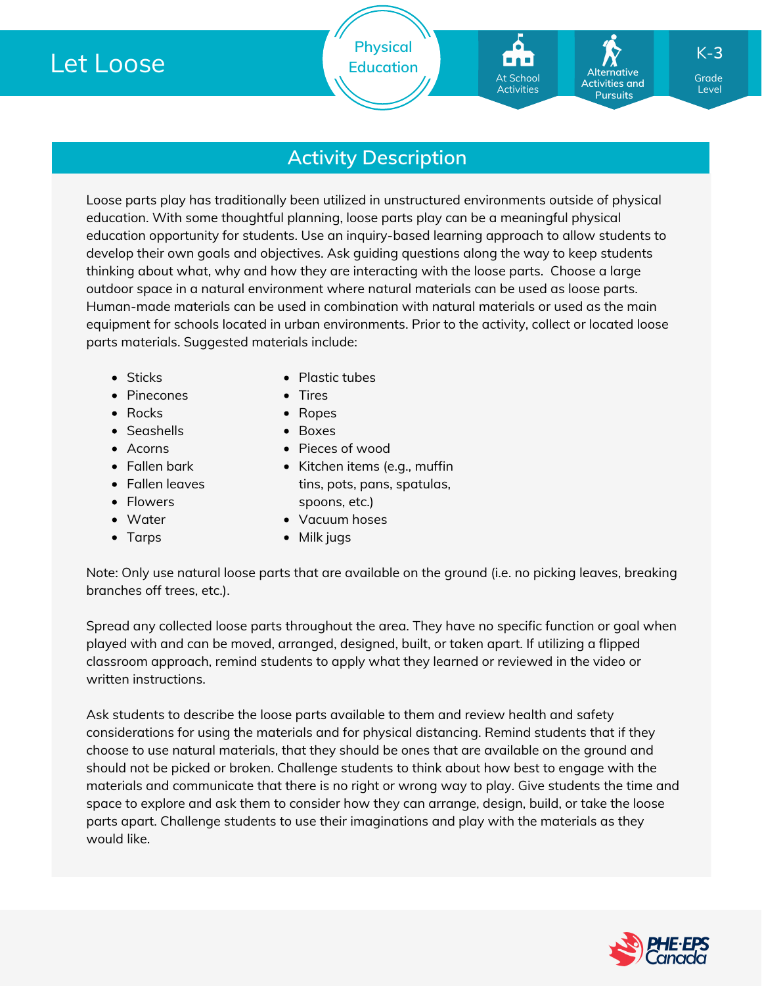## **Activity Description**

Loose parts play has traditionally been utilized in unstructured environments outside of physical education. With some thoughtful planning, loose parts play can be a meaningful physical education opportunity for students. Use an inquiry-based learning approach to allow students to develop their own goals and objectives. Ask guiding questions along the way to keep students thinking about what, why and how they are interacting with the loose parts. Choose a large outdoor space in a natural environment where natural materials can be used as loose parts. Human-made materials can be used in combination with natural materials or used as the main equipment for schools located in urban environments. Prior to the activity, collect or located loose parts materials. Suggested materials include:

- Sticks
- Pinecones
- Rocks
- Seashells
- Acorns
- Fallen bark
- Fallen leaves
- Flowers
- Water
- Tarps
- Plastic tubes
- Tires
- Ropes
- Boxes
- Pieces of wood
- Kitchen items (e.g., muffin tins, pots, pans, spatulas, spoons, etc.)
- Vacuum hoses
- Milk jugs

Note: Only use natural loose parts that are available on the ground (i.e. no picking leaves, breaking branches off trees, etc.).

Spread any collected loose parts throughout the area. They have no specific function or goal when played with and can be moved, arranged, designed, built, or taken apart. If utilizing a flipped classroom approach, remind students to apply what they learned or reviewed in the video or written instructions.

Ask students to describe the loose parts available to them and review health and safety considerations for using the materials and for physical distancing. Remind students that if they choose to use natural materials, that they should be ones that are available on the ground and should not be picked or broken. Challenge students to think about how best to engage with the materials and communicate that there is no right or wrong way to play. Give students the time and space to explore and ask them to consider how they can arrange, design, build, or take the loose parts apart. Challenge students to use their imaginations and play with the materials as they would like.



Grade Grade Level Level

Individual **Activities and Pursuits** 

**Alternative**

K-**3**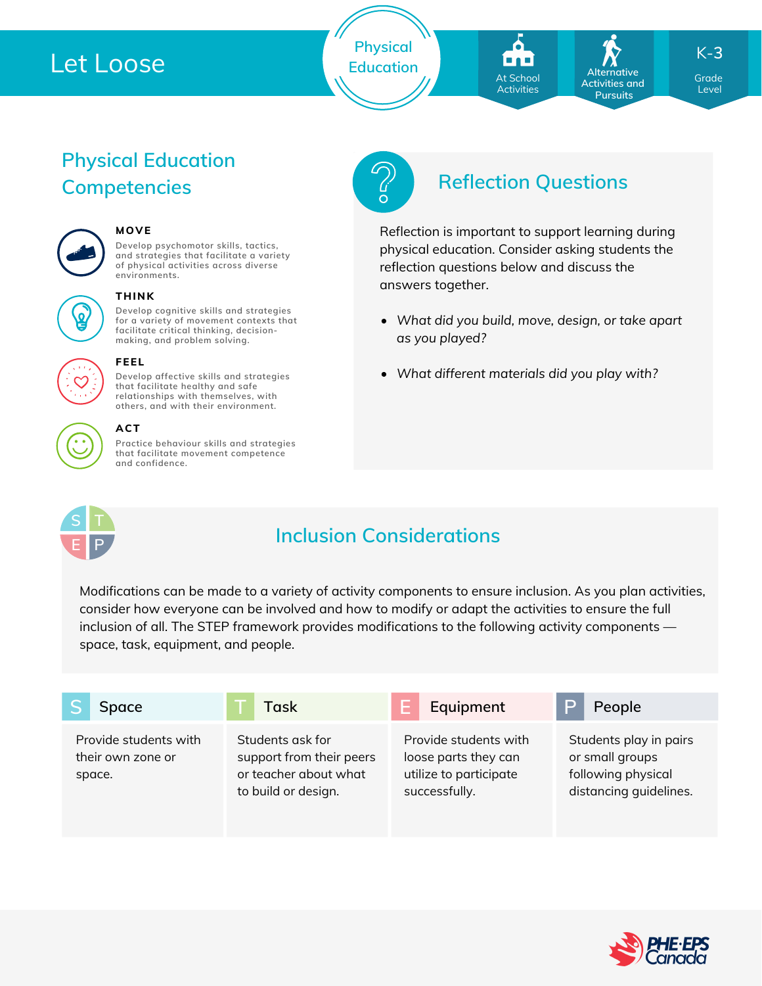## Let Loose

**Physical Education**

At School At School Activities Activities

Individual **Activities and Pursuits** 

**Alternative**

K-**3**

Grade Grade Level Level

# **Physical Education**



#### **MOVE**

**Develop psychomotor skills, tactics, and strategies that facilitate a variety of physical activities across diverse environments.**



#### **THINK**

**Develop cognitive skills and strategies for a variety of movement contexts that facilitate critical thinking, decision making, and problem solving.**



#### **Develop affective skills and strategies FEEL**

**that facilitate healthy and safe relationships with themselves, with others, and with their environment.**



#### **ACT**

**Practice behaviour skills and strategies that facilitate movement competence and confidence.**



## **Competencies Reflection Questions**

Reflection is important to support learning during physical education. Consider asking students the reflection questions below and discuss the answers together.

- *What did you build, move, design, or take apart as you played?*
- *What different materials did you play with?*



## **Inclusion Considerations**

Modifications can be made to a variety of activity components to ensure inclusion. As you plan activities, consider how everyone can be involved and how to modify or adapt the activities to ensure the full inclusion of all. The STEP framework provides modifications to the following activity components space, task, equipment, and people.

| Space                                                | Task                                                                                         | Equipment                                                                                | People                                                                                    |
|------------------------------------------------------|----------------------------------------------------------------------------------------------|------------------------------------------------------------------------------------------|-------------------------------------------------------------------------------------------|
| Provide students with<br>their own zone or<br>space. | Students ask for<br>support from their peers<br>or teacher about what<br>to build or design. | Provide students with<br>loose parts they can<br>utilize to participate<br>successfully. | Students play in pairs<br>or small groups<br>following physical<br>distancing quidelines. |